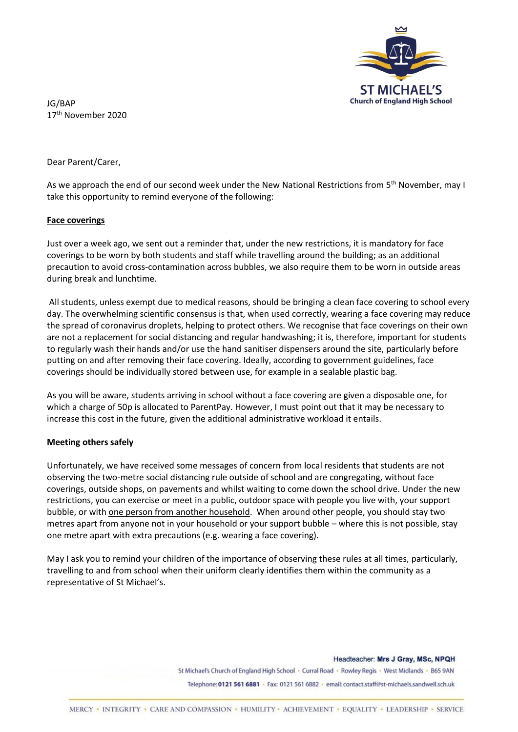

JG/BAP 17th November 2020

Dear Parent/Carer,

As we approach the end of our second week under the New National Restrictions from 5<sup>th</sup> November, may I take this opportunity to remind everyone of the following:

## **Face coverings**

Just over a week ago, we sent out a reminder that, under the new restrictions, it is mandatory for face coverings to be worn by both students and staff while travelling around the building; as an additional precaution to avoid cross-contamination across bubbles, we also require them to be worn in outside areas during break and lunchtime.

All students, unless exempt due to medical reasons, should be bringing a clean face covering to school every day. The overwhelming scientific consensus is that, when used correctly, wearing a face covering may reduce the spread of coronavirus droplets, helping to protect others. We recognise that face coverings on their own are not a replacement for social distancing and regular handwashing; it is, therefore, important for students to regularly wash their hands and/or use the hand sanitiser dispensers around the site, particularly before putting on and after removing their face covering. Ideally, according to government guidelines, face coverings should be individually stored between use, for example in a sealable plastic bag.

As you will be aware, students arriving in school without a face covering are given a disposable one, for which a charge of 50p is allocated to ParentPay. However, I must point out that it may be necessary to increase this cost in the future, given the additional administrative workload it entails.

## **Meeting others safely**

Unfortunately, we have received some messages of concern from local residents that students are not observing the two-metre social distancing rule outside of school and are congregating, without face coverings, outside shops, on pavements and whilst waiting to come down the school drive. Under the new restrictions, you can exercise or meet in a public, outdoor space with people you live with, your support bubble, or with one person from another household. When around other people, you should stay two metres apart from anyone not in your household or your support bubble – where this is not possible, stay one metre apart with extra precautions (e.g. wearing a face covering).

May I ask you to remind your children of the importance of observing these rules at all times, particularly, travelling to and from school when their uniform clearly identifies them within the community as a representative of St Michael's.

> Headteacher: Mrs J Gray, MSc, NPQH St Michael's Church of England High School · Curral Road · Rowley Regis · West Midlands · B65 9AN Telephone: 0121 561 6881 · Fax: 0121 561 6882 · email: contact.staff@st-michaels.sandwell.sch.uk